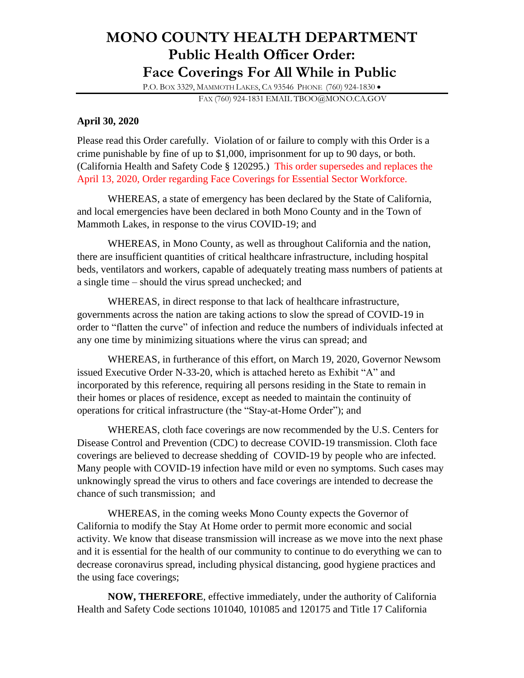## **MONO COUNTY HEALTH DEPARTMENT Public Health Officer Order: Face Coverings For All While in Public**

P.O. BOX 3329, MAMMOTH LAKES, CA 93546 PHONE (760) 924-1830 •

FAX (760) 924-1831 EMAIL TBOO@MONO.CA.GOV

## **April 30, 2020**

Please read this Order carefully. Violation of or failure to comply with this Order is a crime punishable by fine of up to \$1,000, imprisonment for up to 90 days, or both. (California Health and Safety Code § 120295.) This order supersedes and replaces the April 13, 2020, Order regarding Face Coverings for Essential Sector Workforce.

WHEREAS, a state of emergency has been declared by the State of California, and local emergencies have been declared in both Mono County and in the Town of Mammoth Lakes, in response to the virus COVID-19; and

WHEREAS, in Mono County, as well as throughout California and the nation, there are insufficient quantities of critical healthcare infrastructure, including hospital beds, ventilators and workers, capable of adequately treating mass numbers of patients at a single time – should the virus spread unchecked; and

WHEREAS, in direct response to that lack of healthcare infrastructure, governments across the nation are taking actions to slow the spread of COVID-19 in order to "flatten the curve" of infection and reduce the numbers of individuals infected at any one time by minimizing situations where the virus can spread; and

WHEREAS, in furtherance of this effort, on March 19, 2020, Governor Newsom issued Executive Order N-33-20, which is attached hereto as Exhibit "A" and incorporated by this reference, requiring all persons residing in the State to remain in their homes or places of residence, except as needed to maintain the continuity of operations for critical infrastructure (the "Stay-at-Home Order"); and

WHEREAS, cloth face coverings are now recommended by the U.S. Centers for Disease Control and Prevention (CDC) to decrease COVID-19 transmission. Cloth face coverings are believed to decrease shedding of COVID-19 by people who are infected. Many people with COVID-19 infection have mild or even no symptoms. Such cases may unknowingly spread the virus to others and face coverings are intended to decrease the chance of such transmission; and

WHEREAS, in the coming weeks Mono County expects the Governor of California to modify the Stay At Home order to permit more economic and social activity. We know that disease transmission will increase as we move into the next phase and it is essential for the health of our community to continue to do everything we can to decrease coronavirus spread, including physical distancing, good hygiene practices and the using face coverings;

**NOW, THEREFORE**, effective immediately, under the authority of California Health and Safety Code sections 101040, 101085 and 120175 and Title 17 California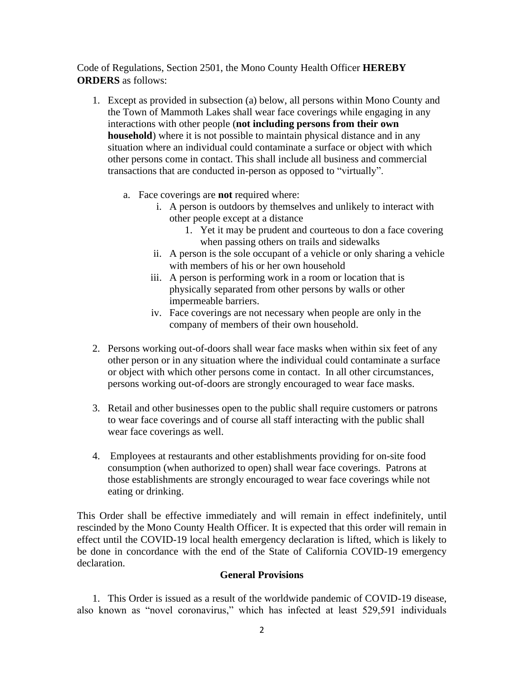Code of Regulations, Section 2501, the Mono County Health Officer **HEREBY ORDERS** as follows:

- 1. Except as provided in subsection (a) below, all persons within Mono County and the Town of Mammoth Lakes shall wear face coverings while engaging in any interactions with other people (**not including persons from their own household**) where it is not possible to maintain physical distance and in any situation where an individual could contaminate a surface or object with which other persons come in contact. This shall include all business and commercial transactions that are conducted in-person as opposed to "virtually".
	- a. Face coverings are **not** required where:
		- i. A person is outdoors by themselves and unlikely to interact with other people except at a distance
			- 1. Yet it may be prudent and courteous to don a face covering when passing others on trails and sidewalks
		- ii. A person is the sole occupant of a vehicle or only sharing a vehicle with members of his or her own household
		- iii. A person is performing work in a room or location that is physically separated from other persons by walls or other impermeable barriers.
		- iv. Face coverings are not necessary when people are only in the company of members of their own household.
- 2. Persons working out-of-doors shall wear face masks when within six feet of any other person or in any situation where the individual could contaminate a surface or object with which other persons come in contact. In all other circumstances, persons working out-of-doors are strongly encouraged to wear face masks.
- 3. Retail and other businesses open to the public shall require customers or patrons to wear face coverings and of course all staff interacting with the public shall wear face coverings as well.
- 4. Employees at restaurants and other establishments providing for on-site food consumption (when authorized to open) shall wear face coverings. Patrons at those establishments are strongly encouraged to wear face coverings while not eating or drinking.

This Order shall be effective immediately and will remain in effect indefinitely, until rescinded by the Mono County Health Officer. It is expected that this order will remain in effect until the COVID-19 local health emergency declaration is lifted, which is likely to be done in concordance with the end of the State of California COVID-19 emergency declaration.

## **General Provisions**

1. This Order is issued as a result of the worldwide pandemic of COVID-19 disease, also known as "novel coronavirus," which has infected at least 529,591 individuals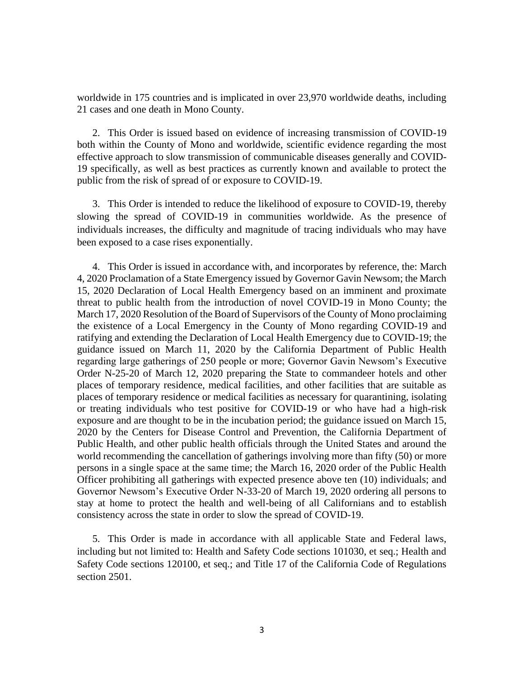worldwide in 175 countries and is implicated in over 23,970 worldwide deaths, including 21 cases and one death in Mono County.

2. This Order is issued based on evidence of increasing transmission of COVID-19 both within the County of Mono and worldwide, scientific evidence regarding the most effective approach to slow transmission of communicable diseases generally and COVID-19 specifically, as well as best practices as currently known and available to protect the public from the risk of spread of or exposure to COVID-19.

3. This Order is intended to reduce the likelihood of exposure to COVID-19, thereby slowing the spread of COVID-19 in communities worldwide. As the presence of individuals increases, the difficulty and magnitude of tracing individuals who may have been exposed to a case rises exponentially.

4. This Order is issued in accordance with, and incorporates by reference, the: March 4, 2020 Proclamation of a State Emergency issued by Governor Gavin Newsom; the March 15, 2020 Declaration of Local Health Emergency based on an imminent and proximate threat to public health from the introduction of novel COVID-19 in Mono County; the March 17, 2020 Resolution of the Board of Supervisors of the County of Mono proclaiming the existence of a Local Emergency in the County of Mono regarding COVID-19 and ratifying and extending the Declaration of Local Health Emergency due to COVID-19; the guidance issued on March 11, 2020 by the California Department of Public Health regarding large gatherings of 250 people or more; Governor Gavin Newsom's Executive Order N-25-20 of March 12, 2020 preparing the State to commandeer hotels and other places of temporary residence, medical facilities, and other facilities that are suitable as places of temporary residence or medical facilities as necessary for quarantining, isolating or treating individuals who test positive for COVID-19 or who have had a high-risk exposure and are thought to be in the incubation period; the guidance issued on March 15, 2020 by the Centers for Disease Control and Prevention, the California Department of Public Health, and other public health officials through the United States and around the world recommending the cancellation of gatherings involving more than fifty (50) or more persons in a single space at the same time; the March 16, 2020 order of the Public Health Officer prohibiting all gatherings with expected presence above ten (10) individuals; and Governor Newsom's Executive Order N-33-20 of March 19, 2020 ordering all persons to stay at home to protect the health and well-being of all Californians and to establish consistency across the state in order to slow the spread of COVID-19.

5. This Order is made in accordance with all applicable State and Federal laws, including but not limited to: Health and Safety Code sections 101030, et seq.; Health and Safety Code sections 120100, et seq.; and Title 17 of the California Code of Regulations section 2501.